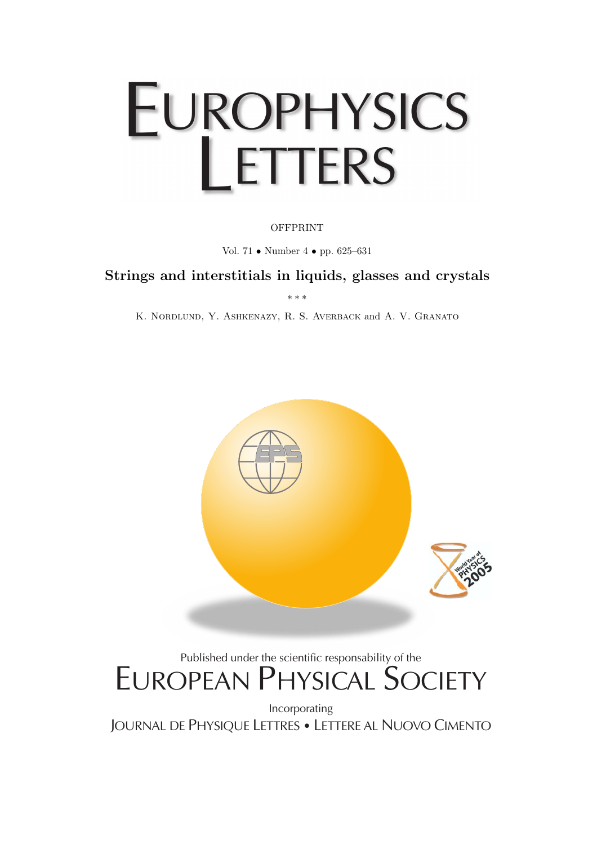# EUROPHYSICS **LETTERS**

## **OFFPRINT**

Vol. 71 • Number 4 • pp. 625–631

## **Strings and interstitials in liquids, glasses and crystals**

∗∗∗

K. Nordlund, Y. Ashkenazy, R. S. Averback and A. V. Granato



# Published under the scientific responsability of the EUROPEAN PHYSICAL SOCIETY

Incorporating JOURNAL DE PHYSIQUE LETTRES • LETTERE AL NUOVO CIMENTO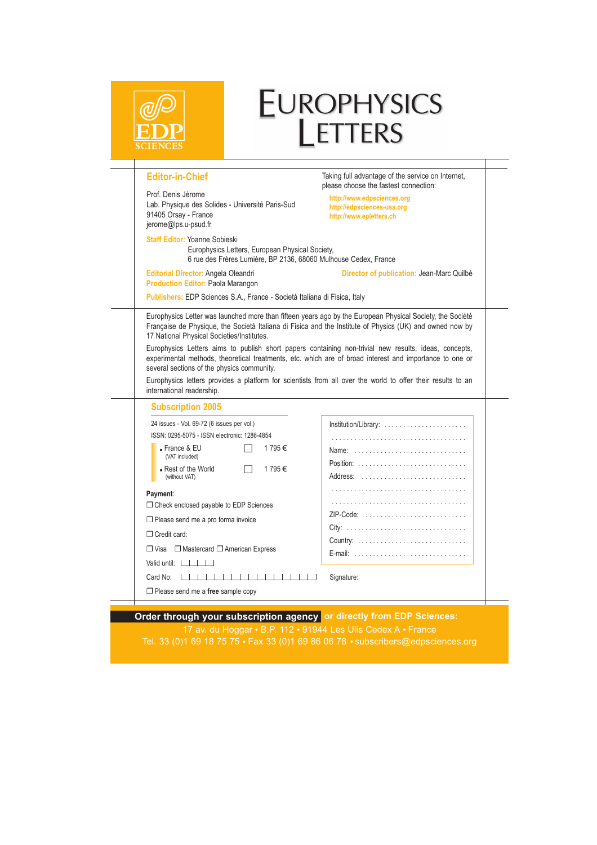|                                                                                                                                                            | EUROPHYSICS<br>LETTERS                                                                                                                                                                                           |
|------------------------------------------------------------------------------------------------------------------------------------------------------------|------------------------------------------------------------------------------------------------------------------------------------------------------------------------------------------------------------------|
| <b>Editor-in-Chief</b>                                                                                                                                     | Taking full advantage of the service on Internet,<br>please choose the fastest connection:                                                                                                                       |
| Prof. Denis Jérome<br>Lab. Physique des Solides - Université Paris-Sud<br>91405 Orsay - France<br>jerome@lps.u-psud.fr                                     | http://www.edpsciences.org<br>http://edpsciences-usa.org<br>http://www.epletters.ch                                                                                                                              |
| <b>Staff Editor: Yoanne Sobieski</b><br>Europhysics Letters, European Physical Society,<br>6 rue des Frères Lumière, BP 2136, 68060 Mulhouse Cedex, France |                                                                                                                                                                                                                  |
| Editorial Director: Angela Oleandri<br><b>Production Editor: Paola Marangon</b>                                                                            | Director of publication: Jean-Marc Quilbé                                                                                                                                                                        |
| Publishers: EDP Sciences S.A., France - Società Italiana di Fisica, Italy                                                                                  |                                                                                                                                                                                                                  |
| several sections of the physics community.                                                                                                                 | Europhysics Letters aims to publish short papers containing non-trivial new results, ideas, concepts,<br>experimental methods, theoretical treatments, etc. which are of broad interest and importance to one or |
| international readership.                                                                                                                                  | Europhysics letters provides a platform for scientists from all over the world to offer their results to an                                                                                                      |
| <b>Subscription 2005</b>                                                                                                                                   |                                                                                                                                                                                                                  |
| 24 issues - Vol. 69-72 (6 issues per vol.)                                                                                                                 | Institution/Library:                                                                                                                                                                                             |
| ISSN: 0295-5075 - ISSN electronic: 1286-4854                                                                                                               |                                                                                                                                                                                                                  |
| $\bullet$ France & EU<br>1795€<br>(VAT included)                                                                                                           | Name:                                                                                                                                                                                                            |
| • Rest of the World<br>1795€<br>$\Box$<br>(without VAT)                                                                                                    | Position:<br>Address:                                                                                                                                                                                            |
|                                                                                                                                                            |                                                                                                                                                                                                                  |
| Payment:<br>□ Check enclosed payable to EDP Sciences                                                                                                       |                                                                                                                                                                                                                  |
|                                                                                                                                                            | ZIP-Code:                                                                                                                                                                                                        |
| $\Box$ Please send me a pro forma invoice                                                                                                                  | $City: \ldots \ldots \ldots \ldots \ldots \ldots \ldots \ldots$                                                                                                                                                  |
| Credit card:                                                                                                                                               |                                                                                                                                                                                                                  |
| □ Visa □ Mastercard □ American Express                                                                                                                     | E-mail:                                                                                                                                                                                                          |
| Valid until: $\Box$<br>1                   <u>                 </u><br>Card No:                                                                            |                                                                                                                                                                                                                  |
| $\Box$ Please send me a free sample copy                                                                                                                   | Signature:                                                                                                                                                                                                       |

17 av. du Hoggar • B.P. 112 • 91944 Les Ulis Cedex A • France Tel. 33 (0)1 69 18 75 75 Fax 33 (0)1 69 86 06 78 subscribers@edpsciences.org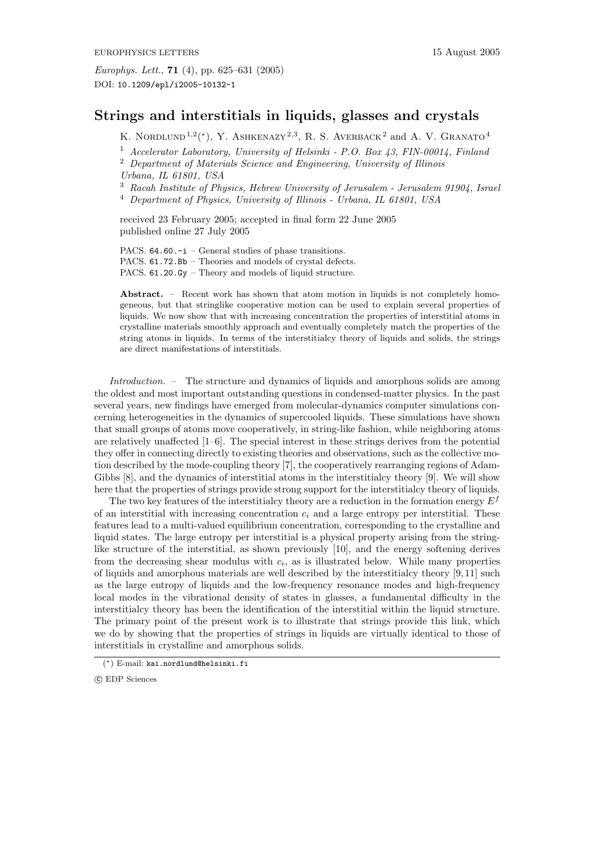## **Strings and interstitials in liquids, glasses and crystals**

K. NORDLUND<sup>1,2</sup>(\*), Y. ASHKENAZY<sup>2,3</sup>, R. S. AVERBACK<sup>2</sup> and A. V. GRANATO<sup>4</sup>

<sup>1</sup> *Accelerator Laboratory, University of Helsinki - P.O. Box 43, FIN-00014, Finland*

<sup>3</sup> *Racah Institute of Physics, Hebrew University of Jerusalem - Jerusalem 91904, Israel* <sup>4</sup> *Department of Physics, University of Illinois - Urbana, IL 61801, USA*

received 23 February 2005; accepted in final form 22 June 2005 published online 27 July 2005

PACS. 64.60.-i – General studies of phase transitions. PACS. 61.72.Bb – Theories and models of crystal defects. PACS. 61.20.Gy – Theory and models of liquid structure.

**Abstract.** – Recent work has shown that atom motion in liquids is not completely homogeneous, but that stringlike cooperative motion can be used to explain several properties of liquids. We now show that with increasing concentration the properties of interstitial atoms in crystalline materials smoothly approach and eventually completely match the properties of the string atoms in liquids. In terms of the interstitialcy theory of liquids and solids, the strings are direct manifestations of interstitials.

*Introduction. –* The structure and dynamics of liquids and amorphous solids are among the oldest and most important outstanding questions in condensed-matter physics. In the past several years, new findings have emerged from molecular-dynamics computer simulations concerning heterogeneities in the dynamics of supercooled liquids. These simulations have shown that small groups of atoms move cooperatively, in string-like fashion, while neighboring atoms are relatively unaffected  $[1-6]$ . The special interest in these strings derives from the potential they offer in connecting directly to existing theories and observations, such as the collective motion described by the mode-coupling theory [7], the cooperatively rearranging regions of Adam-Gibbs [8], and the dynamics of interstitial atoms in the interstitialcy theory [9]. We will show here that the properties of strings provide strong support for the interstitialcy theory of liquids.

The two key features of the interstitialcy theory are a reduction in the formation energy  $E<sup>f</sup>$ of an interstitial with increasing concentration  $c_i$  and a large entropy per interstitial. These features lead to a multi-valued equilibrium concentration, corresponding to the crystalline and liquid states. The large entropy per interstitial is a physical property arising from the stringlike structure of the interstitial, as shown previously [10], and the energy softening derives from the decreasing shear modulus with  $c_i$ , as is illustrated below. While many properties of liquids and amorphous materials are well described by the interstitialcy theory  $[9, 11]$  such as the large entropy of liquids and the low-frequency resonance modes and high-frequency local modes in the vibrational density of states in glasses, a fundamental difficulty in the interstitialcy theory has been the identification of the interstitial within the liquid structure. The primary point of the present work is to illustrate that strings provide this link, which we do by showing that the properties of strings in liquids are virtually identical to those of interstitials in crystalline and amorphous solids.

<sup>2</sup> *Department of Materials Science and Engineering, University of Illinois Urbana, IL 61801, USA*

<sup>(</sup>∗) E-mail: kai.nordlund@helsinki.fi

c EDP Sciences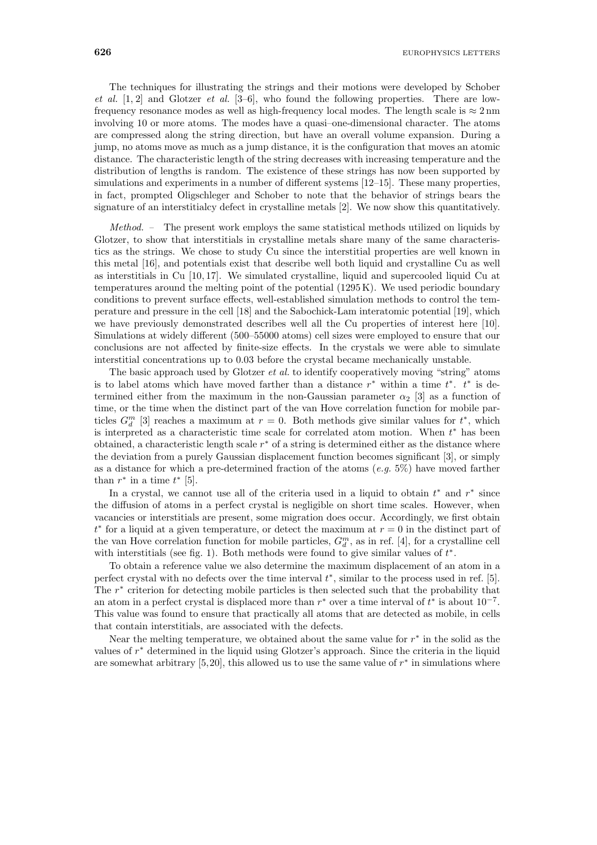The techniques for illustrating the strings and their motions were developed by Schober *et al.* [1, 2] and Glotzer *et al.* [3–6], who found the following properties. There are lowfrequency resonance modes as well as high-frequency local modes. The length scale is  $\approx 2 \text{ nm}$ involving 10 or more atoms. The modes have a quasi-one-dimensional character. The atoms are compressed along the string direction, but have an overall volume expansion. During a jump, no atoms move as much as a jump distance, it is the configuration that moves an atomic distance. The characteristic length of the string decreases with increasing temperature and the distribution of lengths is random. The existence of these strings has now been supported by simulations and experiments in a number of different systems [12–15]. These many properties, in fact, prompted Oligschleger and Schober to note that the behavior of strings bears the signature of an interstitialcy defect in crystalline metals [2]. We now show this quantitatively.

*Method. –* The present work employs the same statistical methods utilized on liquids by Glotzer, to show that interstitials in crystalline metals share many of the same characteristics as the strings. We chose to study Cu since the interstitial properties are well known in this metal [16], and potentials exist that describe well both liquid and crystalline Cu as well as interstitials in Cu [10, 17]. We simulated crystalline, liquid and supercooled liquid Cu at temperatures around the melting point of the potential (1295 K). We used periodic boundary conditions to prevent surface effects, well-established simulation methods to control the temperature and pressure in the cell [18] and the Sabochick-Lam interatomic potential [19], which we have previously demonstrated describes well all the Cu properties of interest here [10]. Simulations at widely different (500–55000 atoms) cell sizes were employed to ensure that our conclusions are not affected by finite-size effects. In the crystals we were able to simulate interstitial concentrations up to 0.03 before the crystal became mechanically unstable.

The basic approach used by Glotzer *et al.* to identify cooperatively moving "string" atoms is to label atoms which have moved farther than a distance  $r^*$  within a time  $t^*$ .  $t^*$  is determined either from the maximum in the non-Gaussian parameter  $\alpha_2$  [3] as a function of time, or the time when the distinct part of the van Hove correlation function for mobile particles  $G_d^m$  [3] reaches a maximum at  $r = 0$ . Both methods give similar values for  $t^*$ , which is interpreted as a characteristic time scale for correlated atom motion. When  $t^*$  has been obtained, a characteristic length scale  $r<sup>*</sup>$  of a string is determined either as the distance where the deviation from a purely Gaussian displacement function becomes significant [3], or simply as a distance for which a pre-determined fraction of the atoms (*e.g.* 5%) have moved farther than  $r^*$  in a time  $t^*$  [5].

In a crystal, we cannot use all of the criteria used in a liquid to obtain  $t^*$  and  $r^*$  since the diffusion of atoms in a perfect crystal is negligible on short time scales. However, when vacancies or interstitials are present, some migration does occur. Accordingly, we first obtain  $t^*$  for a liquid at a given temperature, or detect the maximum at  $r = 0$  in the distinct part of the van Hove correlation function for mobile particles,  $G_d^m$ , as in ref. [4], for a crystalline cell with interstitials (see fig. 1). Both methods were found to give similar values of  $t^*$ .

To obtain a reference value we also determine the maximum displacement of an atom in a perfect crystal with no defects over the time interval  $t^*$ , similar to the process used in ref. [5]. The r<sup>∗</sup> criterion for detecting mobile particles is then selected such that the probability that an atom in a perfect crystal is displaced more than  $r^*$  over a time interval of  $t^*$  is about  $10^{-7}$ . This value was found to ensure that practically all atoms that are detected as mobile, in cells that contain interstitials, are associated with the defects.

Near the melting temperature, we obtained about the same value for  $r^*$  in the solid as the values of r<sup>∗</sup> determined in the liquid using Glotzer's approach. Since the criteria in the liquid are somewhat arbitrary [5,20], this allowed us to use the same value of  $r^*$  in simulations where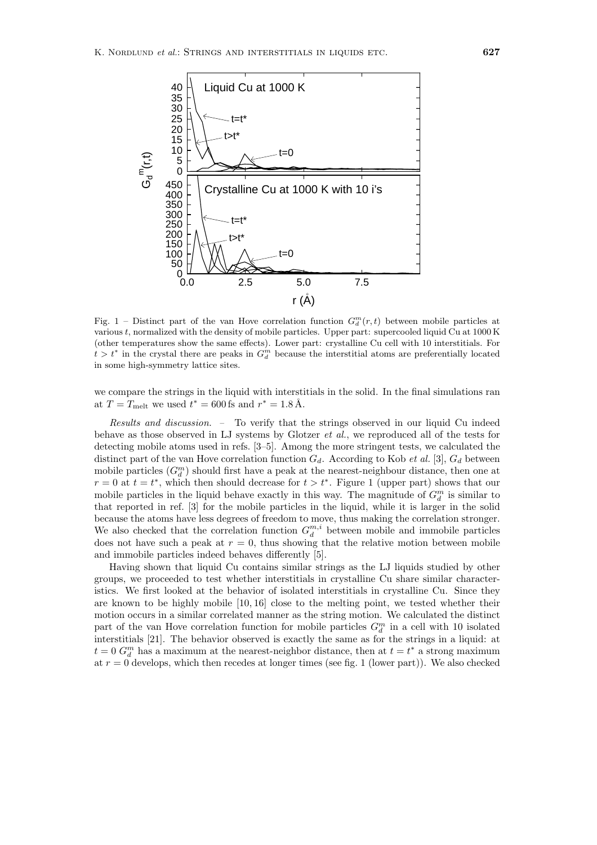

Fig. 1 – Distinct part of the van Hove correlation function  $G_d^m(r,t)$  between mobile particles at various *t*, normalized with the density of mobile particles. Upper part: supercooled liquid Cu at 1000 K (other temperatures showthe same effects). Lower part: crystalline Cu cell with 10 interstitials. For  $t > t^*$  in the crystal there are peaks in  $G_d^m$  because the interstitial atoms are preferentially located in some high-symmetry lattice sites.

we compare the strings in the liquid with interstitials in the solid. In the final simulations ran at  $T = T_{\text{melt}}$  we used  $t^* = 600 \,\text{fs}$  and  $r^* = 1.8 \,\text{Å}$ .

*Results and discussion. –* To verify that the strings observed in our liquid Cu indeed behave as those observed in LJ systems by Glotzer *et al.*, we reproduced all of the tests for detecting mobile atoms used in refs. [3–5]. Among the more stringent tests, we calculated the distinct part of the van Hove correlation function  $G_d$ . According to Kob *et al.* [3],  $G_d$  between mobile particles  $(G_d^m)$  should first have a peak at the nearest-neighbour distance, then one at  $r = 0$  at  $t = t^*$ , which then should decrease for  $t > t^*$ . Figure 1 (upper part) shows that our mobile particles in the liquid behave exactly in this way. The magnitude of  $G_d^m$  is similar to that reported in ref. [3] for the mobile particles in the liquid, while it is larger in the solid because the atoms have less degrees of freedom to move, thus making the correlation stronger.<br>We also checked that the correlation function  $G_d^{m,i}$  between mobile and immobile particles does not have such a peak at  $r = 0$ , thus showing that the relative motion between mobile and immobile particles indeed behaves differently [5].

Having shown that liquid Cu contains similar strings as the LJ liquids studied by other groups, we proceeded to test whether interstitials in crystalline Cu share similar characteristics. We first looked at the behavior of isolated interstitials in crystalline Cu. Since they are known to be highly mobile [10, 16] close to the melting point, we tested whether their motion occurs in a similar correlated manner as the string motion. We calculated the distinct part of the van Hove correlation function for mobile particles  $G_d^m$  in a cell with 10 isolated interstitials [21]. The behavior observed is exactly the same as for the strings in a liquid: at  $t = 0$   $G_d^m$  has a maximum at the nearest-neighbor distance, then at  $t = t^*$  a strong maximum at  $r = 0$  develops, which then recedes at longer times (see fig. 1 (lower part)). We also checked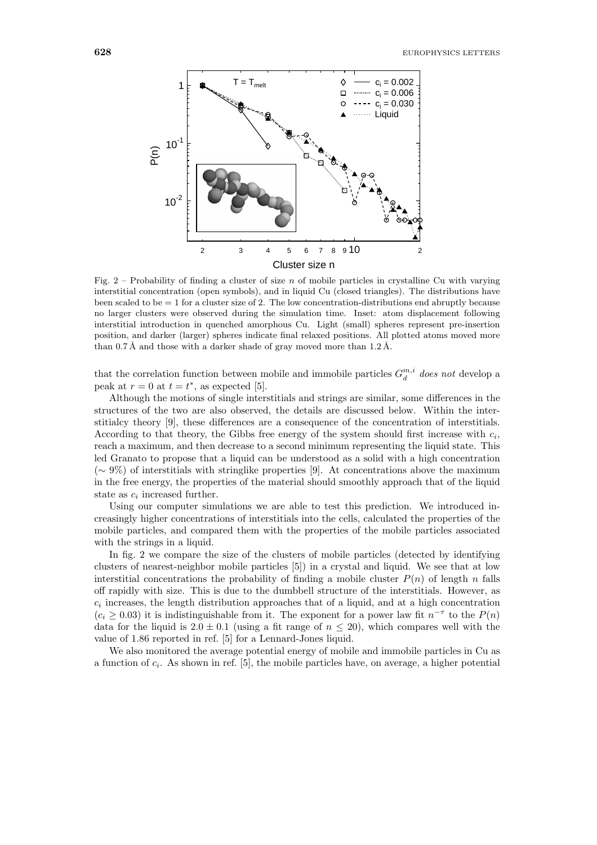

Fig. 2 – Probability of finding a cluster of size *n* of mobile particles in crystalline Cu with varying interstitial concentration (open symbols), and in liquid Cu (closed triangles). The distributions have been scaled to be = 1 for a cluster size of 2. The lowconcentration-distributions end abruptly because no larger clusters were observed during the simulation time. Inset: atom displacement following interstitial introduction in quenched amorphous Cu. Light (small) spheres represent pre-insertion position, and darker (larger) spheres indicate final relaxed positions. All plotted atoms moved more than 0.7 Å and those with a darker shade of gray moved more than  $1.2 \text{ Å}$ .

that the correlation function between mobile and immobile particles  $G_d^{m,i}$  does not develop a peak at  $r = 0$  at  $t = t^*$ , as expected [5].

Although the motions of single interstitials and strings are similar, some differences in the structures of the two are also observed, the details are discussed below. Within the interstitialcy theory [9], these differences are a consequence of the concentration of interstitials. According to that theory, the Gibbs free energy of the system should first increase with  $c_i$ , reach a maximum, and then decrease to a second minimum representing the liquid state. This led Granato to propose that a liquid can be understood as a solid with a high concentration (∼ 9%) of interstitials with stringlike properties [9]. At concentrations above the maximum in the free energy, the properties of the material should smoothly approach that of the liquid state as  $c_i$  increased further.

Using our computer simulations we are able to test this prediction. We introduced increasingly higher concentrations of interstitials into the cells, calculated the properties of the mobile particles, and compared them with the properties of the mobile particles associated with the strings in a liquid.

In fig. 2 we compare the size of the clusters of mobile particles (detected by identifying clusters of nearest-neighbor mobile particles [5]) in a crystal and liquid. We see that at low interstitial concentrations the probability of finding a mobile cluster  $P(n)$  of length n falls off rapidly with size. This is due to the dumbbell structure of the interstitials. However, as  $c_i$  increases, the length distribution approaches that of a liquid, and at a high concentration  $(c_i \geq 0.03)$  it is indistinguishable from it. The exponent for a power law fit  $n^{-\tau}$  to the  $P(n)$ data for the liquid is  $2.0 \pm 0.1$  (using a fit range of  $n \leq 20$ ), which compares well with the value of 1.86 reported in ref. [5] for a Lennard-Jones liquid.

We also monitored the average potential energy of mobile and immobile particles in Cu as a function of  $c_i$ . As shown in ref. [5], the mobile particles have, on average, a higher potential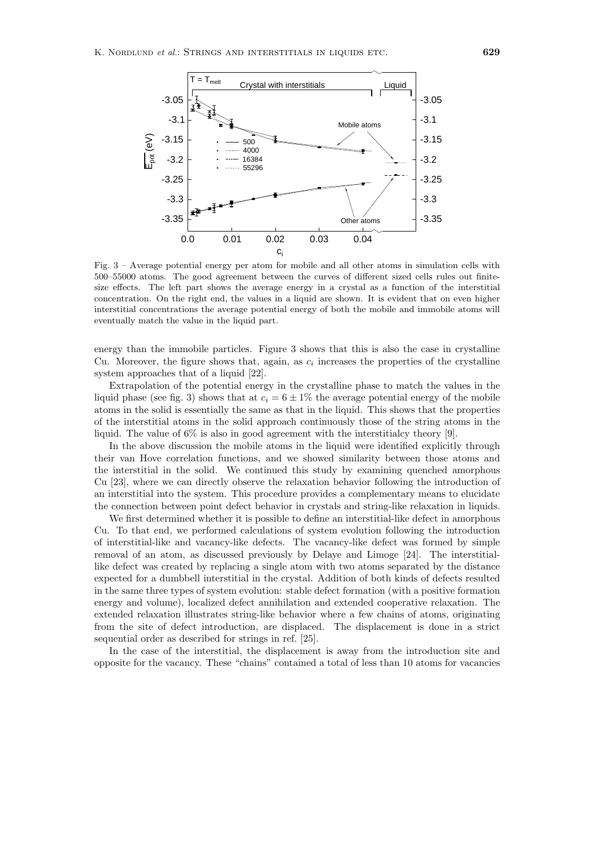

Fig. 3 – Average potential energy per atom for mobile and all other atoms in simulation cells with 500–55000 atoms. The good agreement between the curves of different sized cells rules out finitesize effects. The left part shows the average energy in a crystal as a function of the interstitial concentration. On the right end, the values in a liquid are shown. It is evident that on even higher interstitial concentrations the average potential energy of both the mobile and immobile atoms will eventually match the value in the liquid part.

energy than the immobile particles. Figure 3 shows that this is also the case in crystalline Cu. Moreover, the figure shows that, again, as  $c_i$  increases the properties of the crystalline system approaches that of a liquid [22].

Extrapolation of the potential energy in the crystalline phase to match the values in the liquid phase (see fig. 3) shows that at  $c_i = 6 \pm 1\%$  the average potential energy of the mobile atoms in the solid is essentially the same as that in the liquid. This shows that the properties of the interstitial atoms in the solid approach continuously those of the string atoms in the liquid. The value of 6% is also in good agreement with the interstitialcy theory [9].

In the above discussion the mobile atoms in the liquid were identified explicitly through their van Hove correlation functions, and we showed similarity between those atoms and the interstitial in the solid. We continued this study by examining quenched amorphous Cu [23], where we can directly observe the relaxation behavior following the introduction of an interstitial into the system. This procedure provides a complementary means to elucidate the connection between point defect behavior in crystals and string-like relaxation in liquids.

We first determined whether it is possible to define an interstitial-like defect in amorphous Cu. To that end, we performed calculations of system evolution following the introduction of interstitial-like and vacancy-like defects. The vacancy-like defect was formed by simple removal of an atom, as discussed previously by Delaye and Limoge [24]. The interstitiallike defect was created by replacing a single atom with two atoms separated by the distance expected for a dumbbell interstitial in the crystal. Addition of both kinds of defects resulted in the same three types of system evolution: stable defect formation (with a positive formation energy and volume), localized defect annihilation and extended cooperative relaxation. The extended relaxation illustrates string-like behavior where a few chains of atoms, originating from the site of defect introduction, are displaced. The displacement is done in a strict sequential order as described for strings in ref. [25].

In the case of the interstitial, the displacement is away from the introduction site and opposite for the vacancy. These "chains" contained a total of less than 10atoms for vacancies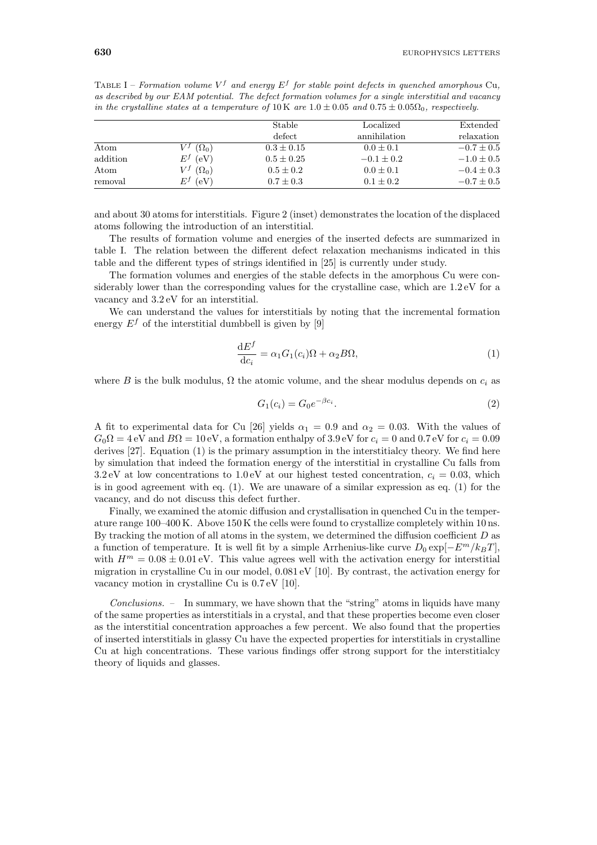|          |              | Stable         | Localized      | Extended       |
|----------|--------------|----------------|----------------|----------------|
|          |              | defect         | annihilation   | relaxation     |
| Atom     | $(\Omega_0)$ | $0.3 \pm 0.15$ | $0.0 \pm 0.1$  | $-0.7 \pm 0.5$ |
| addition | (eV)<br>E·   | $0.5 \pm 0.25$ | $-0.1 \pm 0.2$ | $-1.0 \pm 0.5$ |
| Atom     | $(\Omega_0)$ | $0.5 \pm 0.2$  | $0.0 \pm 0.1$  | $-0.4 \pm 0.3$ |
| removal  | (eV)<br>F.   | $0.7 \pm 0.3$  | $0.1 \pm 0.2$  | $-0.7 \pm 0.5$ |

TABLE I – *Formation volume*  $V^f$  *and energy*  $E^f$  *for stable point defects in quenched amorphous* Cu, *as described by our EAM potential. The defect formation volumes for a single interstitial and vacancy in the crystalline states at a temperature of*  $10 \text{ K}$  *are*  $1.0 \pm 0.05$  *and*  $0.75 \pm 0.05 \Omega_0$ *, respectively.* 

and about 30 atoms for interstitials. Figure 2 (inset) demonstrates the location of the displaced atoms following the introduction of an interstitial.

The results of formation volume and energies of the inserted defects are summarized in table I. The relation between the different defect relaxation mechanisms indicated in this table and the different types of strings identified in [25] is currently under study.

The formation volumes and energies of the stable defects in the amorphous Cu were considerably lower than the corresponding values for the crystalline case, which are  $1.2 \text{ eV}$  for a vacancy and 3.2 eV for an interstitial.

We can understand the values for interstitials by noting that the incremental formation energy  $E<sup>f</sup>$  of the interstitial dumbbell is given by [9]

$$
\frac{\mathrm{d}E^f}{\mathrm{d}c_i} = \alpha_1 G_1(c_i)\Omega + \alpha_2 B \Omega,\tag{1}
$$

where B is the bulk modulus,  $\Omega$  the atomic volume, and the shear modulus depends on  $c_i$  as

$$
G_1(c_i) = G_0 e^{-\beta c_i}.
$$
\n(2)

A fit to experimental data for Cu [26] yields  $\alpha_1 = 0.9$  and  $\alpha_2 = 0.03$ . With the values of  $G_0\Omega = 4$  eV and  $B\Omega = 10$  eV, a formation enthalpy of 3.9 eV for  $c_i = 0$  and 0.7 eV for  $c_i = 0.09$ derives [27]. Equation (1) is the primary assumption in the interstitialcy theory. We find here by simulation that indeed the formation energy of the interstitial in crystalline Cu falls from 3.2 eV at low concentrations to 1.0 eV at our highest tested concentration,  $c_i = 0.03$ , which is in good agreement with eq. (1). We are unaware of a similar expression as eq. (1) for the vacancy, and do not discuss this defect further.

Finally, we examined the atomic diffusion and crystallisation in quenched Cu in the temperature range 100–400 K. Above 150 K the cells were found to crystallize completely within 10 ns. By tracking the motion of all atoms in the system, we determined the diffusion coefficient  $D$  as a function of temperature. It is well fit by a simple Arrhenius-like curve  $D_0 \exp[-E^m/k_BT]$ , with  $H^m = 0.08 \pm 0.01$  eV. This value agrees well with the activation energy for interstitial migration in crystalline Cu in our model,  $0.081 \,\mathrm{eV}$  [10]. By contrast, the activation energy for vacancy motion in crystalline Cu is 0.7 eV [10].

*Conclusions. –* In summary, we have shown that the "string" atoms in liquids have many of the same properties as interstitials in a crystal, and that these properties become even closer as the interstitial concentration approaches a few percent. We also found that the properties of inserted interstitials in glassy Cu have the expected properties for interstitials in crystalline Cu at high concentrations. These various findings offer strong support for the interstitialcy theory of liquids and glasses.